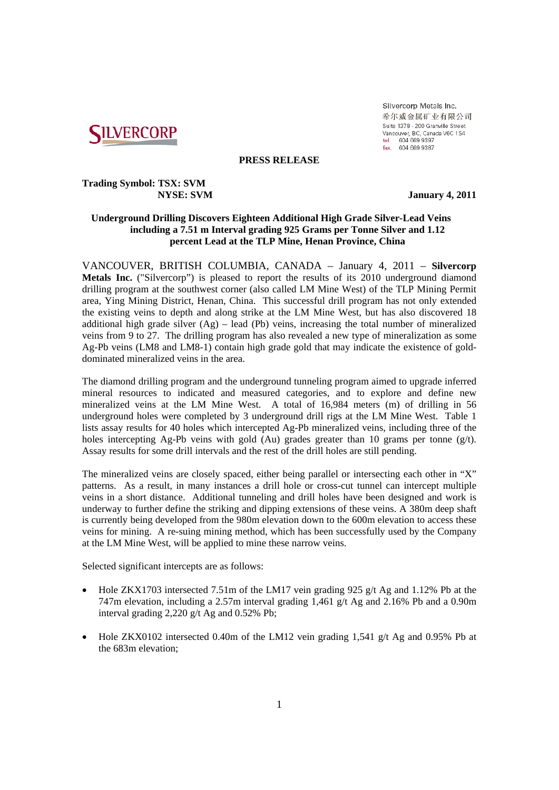

Silvercorp Metals Inc. 希尔威金属矿业有限公司 Suite 1378 - 200 Granville Street Vancouver, BC, Canada V6C 1S4<br>tel. 604 669 9397<br>fax. 604 669 9397

## **PRESS RELEASE**

# **Trading Symbol: TSX: SVM**

 **NYSE: SVM January 4, 2011** 

# **Underground Drilling Discovers Eighteen Additional High Grade Silver-Lead Veins including a 7.51 m Interval grading 925 Grams per Tonne Silver and 1.12 percent Lead at the TLP Mine, Henan Province, China**

VANCOUVER, BRITISH COLUMBIA, CANADA – January 4, 2011 – **Silvercorp Metals Inc.** ("Silvercorp") is pleased to report the results of its 2010 underground diamond drilling program at the southwest corner (also called LM Mine West) of the TLP Mining Permit area, Ying Mining District, Henan, China. This successful drill program has not only extended the existing veins to depth and along strike at the LM Mine West, but has also discovered 18 additional high grade silver  $(Ag)$  – lead (Pb) veins, increasing the total number of mineralized veins from 9 to 27. The drilling program has also revealed a new type of mineralization as some Ag-Pb veins (LM8 and LM8-1) contain high grade gold that may indicate the existence of golddominated mineralized veins in the area.

The diamond drilling program and the underground tunneling program aimed to upgrade inferred mineral resources to indicated and measured categories, and to explore and define new mineralized veins at the LM Mine West. A total of 16,984 meters (m) of drilling in 56 underground holes were completed by 3 underground drill rigs at the LM Mine West. Table 1 lists assay results for 40 holes which intercepted Ag-Pb mineralized veins, including three of the holes intercepting Ag-Pb veins with gold (Au) grades greater than 10 grams per tonne  $(g/t)$ . Assay results for some drill intervals and the rest of the drill holes are still pending.

The mineralized veins are closely spaced, either being parallel or intersecting each other in "X" patterns. As a result, in many instances a drill hole or cross-cut tunnel can intercept multiple veins in a short distance. Additional tunneling and drill holes have been designed and work is underway to further define the striking and dipping extensions of these veins. A 380m deep shaft is currently being developed from the 980m elevation down to the 600m elevation to access these veins for mining. A re-suing mining method, which has been successfully used by the Company at the LM Mine West, will be applied to mine these narrow veins.

Selected significant intercepts are as follows:

- Hole ZKX1703 intersected 7.51m of the LM17 vein grading 925 g/t Ag and 1.12% Pb at the 747m elevation, including a 2.57m interval grading 1,461 g/t Ag and 2.16% Pb and a 0.90m interval grading 2.220 g/t Ag and 0.52% Pb;
- Hole ZKX0102 intersected 0.40m of the LM12 vein grading 1,541 g/t Ag and 0.95% Pb at the 683m elevation;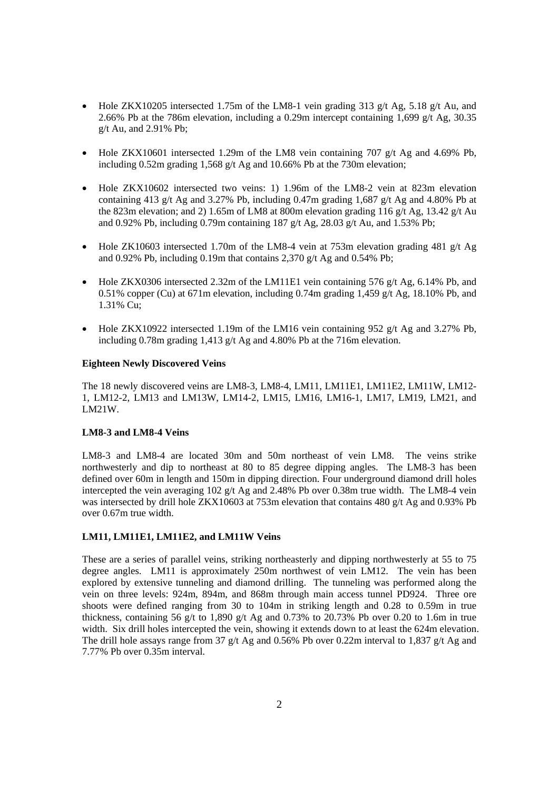- Hole ZKX10205 intersected 1.75m of the LM8-1 vein grading 313 g/t Ag, 5.18 g/t Au, and 2.66% Pb at the 786m elevation, including a 0.29m intercept containing 1,699 g/t Ag, 30.35 g/t Au, and 2.91% Pb;
- Hole ZKX10601 intersected 1.29m of the LM8 vein containing 707  $g/t$  Ag and 4.69% Pb, including 0.52m grading 1,568 g/t Ag and 10.66% Pb at the 730m elevation;
- Hole ZKX10602 intersected two veins: 1) 1.96m of the LM8-2 vein at 823m elevation containing 413 g/t Ag and 3.27% Pb, including 0.47m grading 1,687 g/t Ag and 4.80% Pb at the 823m elevation; and 2) 1.65m of LM8 at 800m elevation grading 116 g/t Ag, 13.42 g/t Au and 0.92% Pb, including 0.79m containing 187 g/t Ag, 28.03 g/t Au, and 1.53% Pb;
- Hole ZK10603 intersected 1.70m of the LM8-4 vein at 753m elevation grading 481 g/t Ag and 0.92% Pb, including 0.19m that contains 2.370 g/t Ag and 0.54% Pb;
- $\bullet$  Hole ZKX0306 intersected 2.32m of the LM11E1 vein containing 576 g/t Ag, 6.14% Pb, and 0.51% copper (Cu) at 671m elevation, including 0.74m grading 1,459 g/t Ag, 18.10% Pb, and 1.31% Cu;
- Hole ZKX10922 intersected 1.19m of the LM16 vein containing 952 g/t Ag and 3.27% Pb, including 0.78m grading 1.413 g/t Ag and 4.80% Pb at the 716m elevation.

# **Eighteen Newly Discovered Veins**

The 18 newly discovered veins are LM8-3, LM8-4, LM11, LM11E1, LM11E2, LM11W, LM12-1, LM12-2, LM13 and LM13W, LM14-2, LM15, LM16, LM16-1, LM17, LM19, LM21, and LM21W.

## **LM8-3 and LM8-4 Veins**

LM8-3 and LM8-4 are located 30m and 50m northeast of vein LM8. The veins strike northwesterly and dip to northeast at 80 to 85 degree dipping angles. The LM8-3 has been defined over 60m in length and 150m in dipping direction. Four underground diamond drill holes intercepted the vein averaging 102  $g/t$  Ag and 2.48% Pb over 0.38m true width. The LM8-4 vein was intersected by drill hole ZKX10603 at 753m elevation that contains 480 g/t Ag and 0.93% Pb over 0.67m true width.

## **LM11, LM11E1, LM11E2, and LM11W Veins**

These are a series of parallel veins, striking northeasterly and dipping northwesterly at 55 to 75 degree angles. LM11 is approximately 250m northwest of vein LM12. The vein has been explored by extensive tunneling and diamond drilling. The tunneling was performed along the vein on three levels: 924m, 894m, and 868m through main access tunnel PD924. Three ore shoots were defined ranging from 30 to 104m in striking length and 0.28 to 0.59m in true thickness, containing 56 g/t to 1,890 g/t Ag and 0.73% to 20.73% Pb over 0.20 to 1.6m in true width. Six drill holes intercepted the vein, showing it extends down to at least the 624m elevation. The drill hole assays range from 37 g/t Ag and 0.56% Pb over 0.22m interval to 1,837 g/t Ag and 7.77% Pb over 0.35m interval.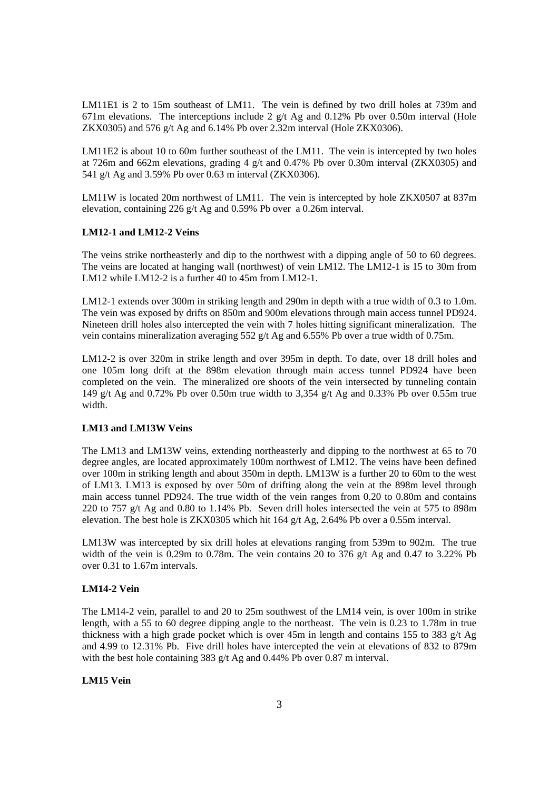LM11E1 is 2 to 15m southeast of LM11. The vein is defined by two drill holes at 739m and 671m elevations. The interceptions include 2  $g/t$  Ag and 0.12% Pb over 0.50m interval (Hole ZKX0305) and 576 g/t Ag and 6.14% Pb over 2.32m interval (Hole ZKX0306).

LM11E2 is about 10 to 60m further southeast of the LM11. The vein is intercepted by two holes at 726m and 662m elevations, grading 4 g/t and 0.47% Pb over 0.30m interval (ZKX0305) and 541 g/t Ag and 3.59% Pb over 0.63 m interval (ZKX0306).

LM11W is located 20m northwest of LM11. The vein is intercepted by hole ZKX0507 at 837m elevation, containing 226 g/t Ag and 0.59% Pb over a 0.26m interval.

## **LM12-1 and LM12-2 Veins**

The veins strike northeasterly and dip to the northwest with a dipping angle of 50 to 60 degrees. The veins are located at hanging wall (northwest) of vein LM12. The LM12-1 is 15 to 30m from LM12 while LM12-2 is a further 40 to 45m from LM12-1.

LM12-1 extends over 300m in striking length and 290m in depth with a true width of 0.3 to 1.0m. The vein was exposed by drifts on 850m and 900m elevations through main access tunnel PD924. Nineteen drill holes also intercepted the vein with 7 holes hitting significant mineralization. The vein contains mineralization averaging  $552$  g/t Ag and 6.55% Pb over a true width of 0.75m.

LM12-2 is over 320m in strike length and over 395m in depth. To date, over 18 drill holes and one 105m long drift at the 898m elevation through main access tunnel PD924 have been completed on the vein. The mineralized ore shoots of the vein intersected by tunneling contain 149 g/t Ag and 0.72% Pb over 0.50m true width to 3,354 g/t Ag and 0.33% Pb over 0.55m true width.

# **LM13 and LM13W Veins**

The LM13 and LM13W veins, extending northeasterly and dipping to the northwest at 65 to 70 degree angles, are located approximately 100m northwest of LM12. The veins have been defined over 100m in striking length and about 350m in depth. LM13W is a further 20 to 60m to the west of LM13. LM13 is exposed by over 50m of drifting along the vein at the 898m level through main access tunnel PD924. The true width of the vein ranges from 0.20 to 0.80m and contains 220 to 757 g/t Ag and 0.80 to 1.14% Pb. Seven drill holes intersected the vein at 575 to 898m elevation. The best hole is ZKX0305 which hit 164 g/t Ag, 2.64% Pb over a 0.55m interval.

LM13W was intercepted by six drill holes at elevations ranging from 539m to 902m. The true width of the vein is 0.29m to 0.78m. The vein contains 20 to 376 g/t Ag and 0.47 to 3.22% Pb over 0.31 to 1.67m intervals.

## **LM14-2 Vein**

The LM14-2 vein, parallel to and 20 to 25m southwest of the LM14 vein, is over 100m in strike length, with a 55 to 60 degree dipping angle to the northeast. The vein is 0.23 to 1.78m in true thickness with a high grade pocket which is over  $45m$  in length and contains 155 to 383 g/t Ag and 4.99 to 12.31% Pb. Five drill holes have intercepted the vein at elevations of 832 to 879m with the best hole containing 383 g/t Ag and 0.44% Pb over 0.87 m interval.

#### **LM15 Vein**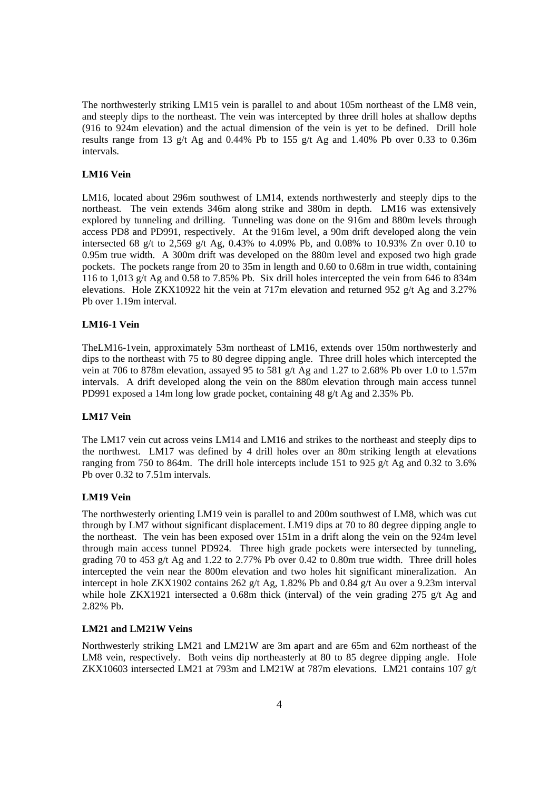The northwesterly striking LM15 vein is parallel to and about 105m northeast of the LM8 vein, and steeply dips to the northeast. The vein was intercepted by three drill holes at shallow depths (916 to 924m elevation) and the actual dimension of the vein is yet to be defined. Drill hole results range from 13 g/t Ag and 0.44% Pb to 155 g/t Ag and 1.40% Pb over 0.33 to 0.36m intervals.

#### **LM16 Vein**

LM16, located about 296m southwest of LM14, extends northwesterly and steeply dips to the northeast. The vein extends 346m along strike and 380m in depth. LM16 was extensively explored by tunneling and drilling. Tunneling was done on the 916m and 880m levels through access PD8 and PD991, respectively. At the 916m level, a 90m drift developed along the vein intersected 68 g/t to 2,569 g/t Ag, 0.43% to 4.09% Pb, and 0.08% to 10.93% Zn over 0.10 to 0.95m true width. A 300m drift was developed on the 880m level and exposed two high grade pockets. The pockets range from 20 to 35m in length and 0.60 to 0.68m in true width, containing 116 to 1,013 g/t Ag and 0.58 to 7.85% Pb. Six drill holes intercepted the vein from 646 to 834m elevations. Hole ZKX10922 hit the vein at 717m elevation and returned 952  $g/t$  Ag and 3.27% Pb over 1.19m interval.

# **LM16-1 Vein**

TheLM16-1vein, approximately 53m northeast of LM16, extends over 150m northwesterly and dips to the northeast with 75 to 80 degree dipping angle. Three drill holes which intercepted the vein at 706 to 878m elevation, assayed 95 to 581 g/t Ag and 1.27 to 2.68% Pb over 1.0 to 1.57m intervals. A drift developed along the vein on the 880m elevation through main access tunnel PD991 exposed a 14m long low grade pocket, containing 48 g/t Ag and 2.35% Pb.

# **LM17 Vein**

The LM17 vein cut across veins LM14 and LM16 and strikes to the northeast and steeply dips to the northwest. LM17 was defined by 4 drill holes over an 80m striking length at elevations ranging from 750 to 864m. The drill hole intercepts include 151 to 925 g/t Ag and 0.32 to 3.6% Pb over 0.32 to 7.51m intervals.

#### **LM19 Vein**

The northwesterly orienting LM19 vein is parallel to and 200m southwest of LM8, which was cut through by LM7 without significant displacement. LM19 dips at 70 to 80 degree dipping angle to the northeast. The vein has been exposed over 151m in a drift along the vein on the 924m level through main access tunnel PD924. Three high grade pockets were intersected by tunneling, grading 70 to 453 g/t Ag and 1.22 to 2.77% Pb over 0.42 to 0.80m true width. Three drill holes intercepted the vein near the 800m elevation and two holes hit significant mineralization. An intercept in hole ZKX1902 contains 262 g/t Ag, 1.82% Pb and 0.84 g/t Au over a 9.23m interval while hole ZKX1921 intersected a 0.68m thick (interval) of the vein grading 275 g/t Ag and 2.82% Pb.

# **LM21 and LM21W Veins**

Northwesterly striking LM21 and LM21W are 3m apart and are 65m and 62m northeast of the LM8 vein, respectively. Both veins dip northeasterly at 80 to 85 degree dipping angle. Hole ZKX10603 intersected LM21 at 793m and LM21W at 787m elevations. LM21 contains 107 g/t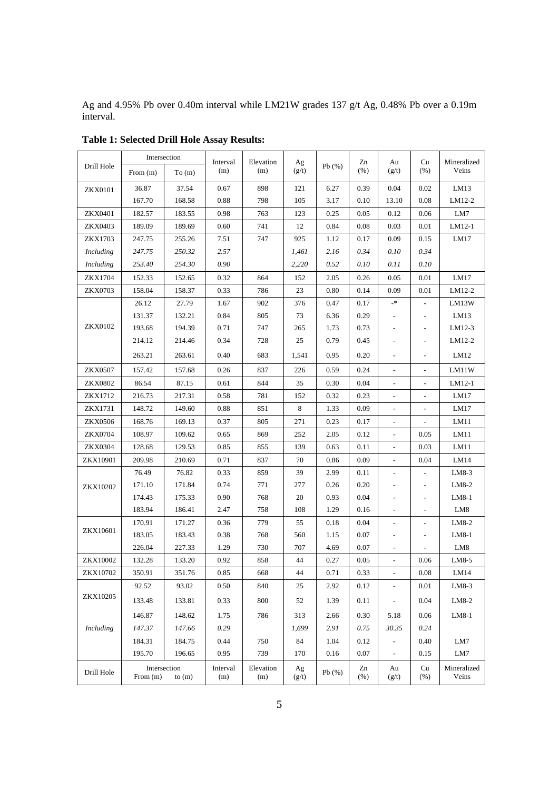Ag and 4.95% Pb over 0.40m interval while LM21W grades 137 g/t Ag, 0.48% Pb over a 0.19m interval.

|                  | Intersection                           |        | Interval        | Elevation        | Ag          |       | Zn           | Au                           | Cu                       | Mineralized          |
|------------------|----------------------------------------|--------|-----------------|------------------|-------------|-------|--------------|------------------------------|--------------------------|----------------------|
| Drill Hole       | From $(m)$                             | To(m)  | (m)             | (m)              | (g/t)       | Pb(%) | $(\% )$      | (g/t)                        | (% )                     | Veins                |
| <b>ZKX0101</b>   | 36.87                                  | 37.54  | 0.67            | 898              | 121         | 6.27  | 0.39         | 0.04                         | 0.02                     | LM13                 |
|                  | 167.70                                 | 168.58 | 0.88            | 798              | 105         | 3.17  | 0.10         | 13.10                        | 0.08                     | LM12-2               |
| ZKX0401          | 182.57                                 | 183.55 | 0.98            | 763              | 123         | 0.25  | 0.05         | 0.12                         | 0.06                     | LM7                  |
| <b>ZKX0403</b>   | 189.09                                 | 189.69 | 0.60            | 741              | 12          | 0.84  | 0.08         | 0.03                         | 0.01                     | LM12-1               |
| <b>ZKX1703</b>   | 247.75                                 | 255.26 | 7.51            | 747              | 925         | 1.12  | 0.17         | 0.09                         | 0.15                     | LM17                 |
| Including        | 247.75                                 | 250.32 | 2.57            |                  | 1,461       | 2.16  | 0.34         | 0.10                         | 0.34                     |                      |
| Including        | 253.40                                 | 254.30 | 0.90            |                  | 2,220       | 0.52  | 0.10         | 0.11                         | 0.10                     |                      |
| ZKX1704          | 152.33                                 | 152.65 | 0.32            | 864              | 152         | 2.05  | 0.26         | 0.05                         | 0.01                     | LM17                 |
| <b>ZKX0703</b>   | 158.04                                 | 158.37 | 0.33            | 786              | 23          | 0.80  | 0.14         | 0.09                         | 0.01                     | LM12-2               |
|                  | 26.12                                  | 27.79  | 1.67            | 902              | 376         | 0.47  | 0.17         | -*                           |                          | LM13W                |
|                  | 131.37                                 | 132.21 | 0.84            | 805              | 73          | 6.36  | 0.29         |                              | L,                       | LM13                 |
| <b>ZKX0102</b>   | 193.68                                 | 194.39 | 0.71            | 747              | 265         | 1.73  | 0.73         |                              | $\overline{a}$           | LM12-3               |
|                  | 214.12                                 | 214.46 | 0.34            | 728              | 25          | 0.79  | 0.45         |                              | $\overline{a}$           | LM12-2               |
|                  | 263.21                                 | 263.61 | 0.40            | 683              | 1,541       | 0.95  | 0.20         | $\overline{a}$               | ÷,                       | LM12                 |
| <b>ZKX0507</b>   | 157.42                                 | 157.68 | 0.26            | 837              | 226         | 0.59  | 0.24         |                              |                          | LM11W                |
| <b>ZKX0802</b>   | 86.54                                  | 87.15  | 0.61            | 844              | 35          | 0.30  | 0.04         | $\overline{\phantom{0}}$     |                          | LM12-1               |
| ZKX1712          | 216.73                                 | 217.31 | 0.58            | 781              | 152         | 0.32  | 0.23         | $\overline{\phantom{a}}$     | $\overline{\phantom{a}}$ | LM17                 |
| <b>ZKX1731</b>   | 148.72                                 | 149.60 | 0.88            | 851              | 8           | 1.33  | 0.09         |                              |                          | LM17                 |
| <b>ZKX0506</b>   | 168.76                                 | 169.13 | 0.37            | 805              | 271         | 0.23  | 0.17         |                              |                          | LM11                 |
| <b>ZKX0704</b>   | 108.97                                 | 109.62 | 0.65            | 869              | 252         | 2.05  | 0.12         | $\qquad \qquad \blacksquare$ | 0.05                     | LM11                 |
| <b>ZKX0304</b>   | 128.68                                 | 129.53 | 0.85            | 855              | 139         | 0.63  | 0.11         | $\overline{\phantom{0}}$     | 0.03                     | LM11                 |
| ZKX10901         | 209.98                                 | 210.69 | 0.71            | 837              | 70          | 0.86  | 0.09         | $\frac{1}{2}$                | 0.04                     | LM14                 |
| ZKX10202         | 76.49                                  | 76.82  | 0.33            | 859              | 39          | 2.99  | 0.11         |                              | $\overline{a}$           | $LM8-3$              |
|                  | 171.10                                 | 171.84 | 0.74            | 771              | 277         | 0.26  | 0.20         |                              | $\overline{a}$           | LM8-2                |
|                  | 174.43                                 | 175.33 | 0.90            | 768              | 20          | 0.93  | 0.04         |                              | $\overline{a}$           | $LM8-1$              |
|                  | 183.94                                 | 186.41 | 2.47            | 758              | 108         | 1.29  | 0.16         |                              | $\overline{\phantom{a}}$ | LM8                  |
|                  | 170.91                                 | 171.27 | 0.36            | 779              | 55          | 0.18  | 0.04         | $\overline{a}$               | $\overline{\phantom{a}}$ | LM8-2                |
| ZKX10601         | 183.05                                 | 183.43 | 0.38            | 768              | 560         | 1.15  | 0.07         |                              | $\overline{a}$           | $LM8-1$              |
|                  | 226.04                                 | 227.33 | 1.29            | 730              | 707         | 4.69  | 0.07         | $\overline{a}$               |                          | LM8                  |
| ZKX10002         | 132.28                                 | 133.20 | 0.92            | 858              | 44          | 0.27  | 0.05         |                              | 0.06                     | LM8-5                |
| ZKX10702         | 350.91                                 | 351.76 | 0.85            | 668              | $44\,$      | 0.71  | 0.33         |                              | $0.08\,$                 | LM14                 |
| ZKX10205         | 92.52                                  | 93.02  | 0.50            | 840              | 25          | 2.92  | 0.12         | $\frac{1}{2}$                | 0.01                     | $LM8-3$              |
|                  | 133.48                                 | 133.81 | 0.33            | 800              | 52          | 1.39  | 0.11         | $\blacksquare$               | 0.04                     | LM8-2                |
|                  | 146.87                                 | 148.62 | 1.75            | 786              | 313         | 2.66  | 0.30         | 5.18                         | 0.06                     | $LM8-1$              |
| <b>Including</b> | 147.37                                 | 147.66 | 0.29            |                  | 1,699       | 2.91  | 0.75         | 30.35                        | 0.24                     |                      |
|                  | 184.31                                 | 184.75 | 0.44            | 750              | 84          | 1.04  | 0.12         | $\overline{\phantom{a}}$     | 0.40                     | LM7                  |
|                  | 195.70                                 | 196.65 | 0.95            | 739              | 170         | 0.16  | 0.07         | $\blacksquare$               | 0.15                     | LM7                  |
| Drill Hole       | Intersection<br>From $(m)$<br>to $(m)$ |        | Interval<br>(m) | Elevation<br>(m) | Ag<br>(g/t) | Pb(%) | Zn<br>$(\%)$ | Au<br>(g/t)                  | Cu<br>$(\%)$             | Mineralized<br>Veins |

**Table 1: Selected Drill Hole Assay Results:**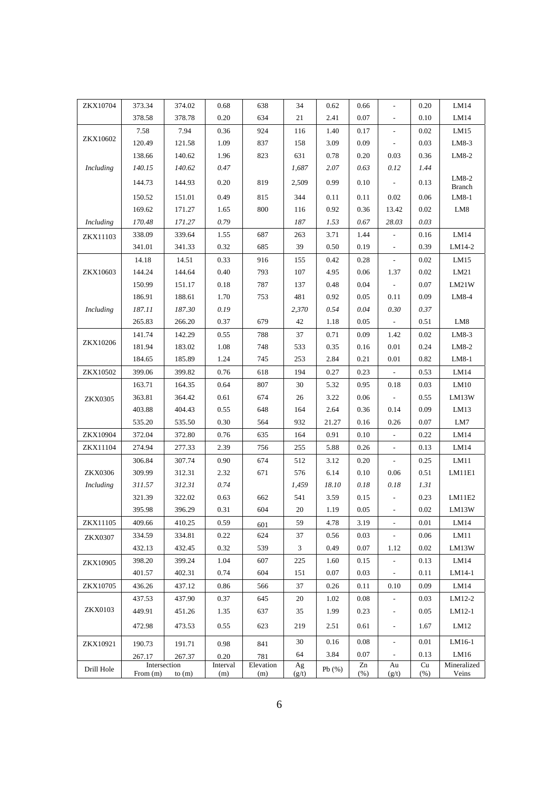| ZKX10704         | 373.34     | 374.02       | 0.68     | 638       | 34    | 0.62  | 0.66 | $\frac{1}{2}$            | 0.20 | LM14                   |
|------------------|------------|--------------|----------|-----------|-------|-------|------|--------------------------|------|------------------------|
|                  | 378.58     | 378.78       | 0.20     | 634       | 21    | 2.41  | 0.07 | $\overline{\phantom{a}}$ | 0.10 | LM14                   |
|                  | 7.58       | 7.94         | 0.36     | 924       | 116   | 1.40  | 0.17 | $\overline{\phantom{a}}$ | 0.02 | LM15                   |
| ZKX10602         | 120.49     | 121.58       | 1.09     | 837       | 158   | 3.09  | 0.09 | $\overline{\phantom{a}}$ | 0.03 | LM8-3                  |
|                  | 138.66     | 140.62       | 1.96     | 823       | 631   | 0.78  | 0.20 | 0.03                     | 0.36 | LM8-2                  |
| <b>Including</b> | 140.15     | 140.62       | 0.47     |           | 1,687 | 2.07  | 0.63 | 0.12                     | 1.44 |                        |
|                  | 144.73     | 144.93       | 0.20     | 819       | 2,509 | 0.99  | 0.10 | $\frac{1}{2}$            | 0.13 | LM8-2<br><b>Branch</b> |
|                  | 150.52     | 151.01       | 0.49     | 815       | 344   | 0.11  | 0.11 | 0.02                     | 0.06 | LM8-1                  |
|                  | 169.62     | 171.27       | 1.65     | 800       | 116   | 0.92  | 0.36 | 13.42                    | 0.02 | LM8                    |
| Including        | 170.48     | 171.27       | 0.79     |           | 187   | 1.53  | 0.67 | 28.03                    | 0.03 |                        |
| ZKX11103         | 338.09     | 339.64       | 1.55     | 687       | 263   | 3.71  | 1.44 | $\frac{1}{2}$            | 0.16 | LM14                   |
|                  | 341.01     | 341.33       | 0.32     | 685       | 39    | 0.50  | 0.19 | $\overline{\phantom{m}}$ | 0.39 | LM14-2                 |
|                  | 14.18      | 14.51        | 0.33     | 916       | 155   | 0.42  | 0.28 | $\overline{\phantom{a}}$ | 0.02 | LM15                   |
| ZKX10603         | 144.24     | 144.64       | 0.40     | 793       | 107   | 4.95  | 0.06 | 1.37                     | 0.02 | LM21                   |
|                  | 150.99     | 151.17       | 0.18     | 787       | 137   | 0.48  | 0.04 | $\overline{\phantom{a}}$ | 0.07 | LM21W                  |
|                  | 186.91     | 188.61       | 1.70     | 753       | 481   | 0.92  | 0.05 | 0.11                     | 0.09 | LM8-4                  |
| <b>Including</b> | 187.11     | 187.30       | 0.19     |           | 2,370 | 0.54  | 0.04 | 0.30                     | 0.37 |                        |
|                  | 265.83     | 266.20       | 0.37     | 679       | 42    | 1.18  | 0.05 | $\overline{\phantom{a}}$ | 0.51 | LM8                    |
|                  | 141.74     | 142.29       | 0.55     | 788       | 37    | 0.71  | 0.09 | 1.42                     | 0.02 | $LM8-3$                |
| ZKX10206         | 181.94     | 183.02       | 1.08     | 748       | 533   | 0.35  | 0.16 | 0.01                     | 0.24 | LM8-2                  |
|                  | 184.65     | 185.89       | 1.24     | 745       | 253   | 2.84  | 0.21 | 0.01                     | 0.82 | LM8-1                  |
| ZKX10502         | 399.06     | 399.82       | 0.76     | 618       | 194   | 0.27  | 0.23 | $\overline{\phantom{a}}$ | 0.53 | LM14                   |
|                  | 163.71     | 164.35       | 0.64     | 807       | 30    | 5.32  | 0.95 | 0.18                     | 0.03 | LM10                   |
| <b>ZKX0305</b>   | 363.81     | 364.42       | 0.61     | 674       | 26    | 3.22  | 0.06 | $\overline{a}$           | 0.55 | LM13W                  |
|                  | 403.88     | 404.43       | 0.55     | 648       | 164   | 2.64  | 0.36 | 0.14                     | 0.09 | LM13                   |
|                  | 535.20     | 535.50       | 0.30     | 564       | 932   | 21.27 | 0.16 | 0.26                     | 0.07 | LM7                    |
| ZKX10904         | 372.04     | 372.80       | 0.76     | 635       | 164   | 0.91  | 0.10 | $\overline{\phantom{a}}$ | 0.22 | LM14                   |
| ZKX11104         | 274.94     | 277.33       | 2.39     | 756       | 255   | 5.88  | 0.26 |                          | 0.13 | LM14                   |
|                  | 306.84     | 307.74       | 0.90     | 674       | 512   | 3.12  | 0.20 | $\overline{a}$           | 0.25 | LM11                   |
| <b>ZKX0306</b>   | 309.99     | 312.31       | 2.32     | 671       | 576   | 6.14  | 0.10 | 0.06                     | 0.51 | LM11E1                 |
| Including        | 311.57     | 312.31       | 0.74     |           | 1,459 | 18.10 | 0.18 | 0.18                     | 1.31 |                        |
|                  | 321.39     | 322.02       | 0.63     | 662       | 541   | 3.59  | 0.15 |                          | 0.23 | LM11E2                 |
|                  | 395.98     | 396.29       | 0.31     | 604       | 20    | 1.19  | 0.05 | $\overline{\phantom{a}}$ | 0.02 | LM13W                  |
| ZKX11105         | 409.66     | 410.25       | 0.59     | 601       | 59    | 4.78  | 3.19 | $\overline{\phantom{a}}$ | 0.01 | LM14                   |
| <b>ZKX0307</b>   | 334.59     | 334.81       | 0.22     | 624       | 37    | 0.56  | 0.03 | $\overline{\phantom{a}}$ | 0.06 | LM11                   |
|                  | 432.13     | 432.45       | 0.32     | 539       | 3     | 0.49  | 0.07 | 1.12                     | 0.02 | LM13W                  |
| ZKX10905         | 398.20     | 399.24       | 1.04     | 607       | 225   | 1.60  | 0.15 | $\overline{\phantom{a}}$ | 0.13 | LM14                   |
|                  | 401.57     | 402.31       | 0.74     | 604       | 151   | 0.07  | 0.03 | $\frac{1}{2}$            | 0.11 | LM14-1                 |
| ZKX10705         | 436.26     | 437.12       | 0.86     | 566       | 37    | 0.26  | 0.11 | 0.10                     | 0.09 | LM14                   |
|                  | 437.53     | 437.90       | 0.37     | 645       | 20    | 1.02  | 0.08 | $\overline{\phantom{a}}$ | 0.03 | LM12-2                 |
| <b>ZKX0103</b>   | 449.91     | 451.26       | 1.35     | 637       | 35    | 1.99  | 0.23 | $\overline{\phantom{a}}$ | 0.05 | LM12-1                 |
|                  | 472.98     | 473.53       | 0.55     | 623       | 219   | 2.51  | 0.61 | $\overline{\phantom{a}}$ | 1.67 | LM <sub>12</sub>       |
| ZKX10921         | 190.73     | 191.71       | 0.98     | 841       | 30    | 0.16  | 0.08 | $\overline{\phantom{a}}$ | 0.01 | LM16-1                 |
|                  | 267.17     | 267.37       | 0.20     | 781       | 64    | 3.84  | 0.07 | $\blacksquare$           | 0.13 | LM16                   |
| Drill Hole       |            | Intersection | Interval | Elevation | Ag    | Pb(%) | Zn   | Au                       | Cu   | Mineralized            |
|                  | From $(m)$ | to $(m)$     | (m)      | (m)       | (g/t) |       | (% ) | (g/t)                    | (% ) | Veins                  |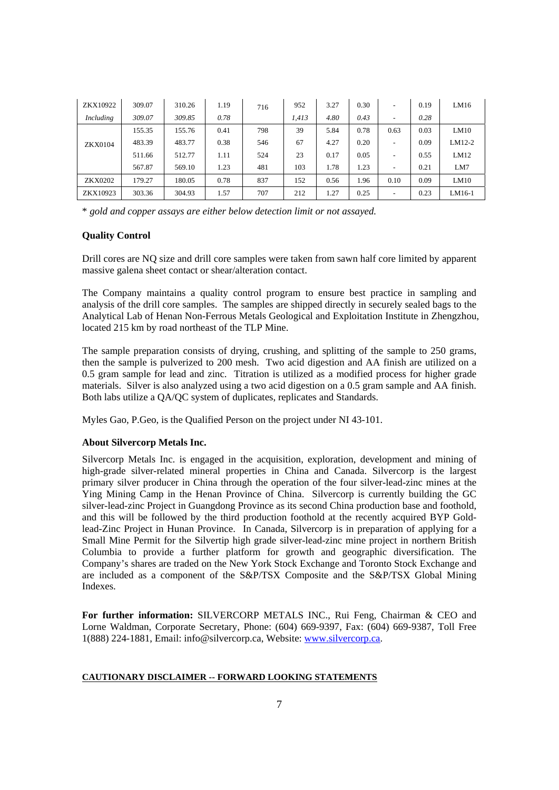| ZKX10922       | 309.07 | 310.26 | 1.19 | 716 | 952   | 3.27 | 0.30 | -                        | 0.19 | LM16     |
|----------------|--------|--------|------|-----|-------|------|------|--------------------------|------|----------|
| Including      | 309.07 | 309.85 | 0.78 |     | 1.413 | 4.80 | 0.43 | -                        | 0.28 |          |
| <b>ZKX0104</b> | 155.35 | 155.76 | 0.41 | 798 | 39    | 5.84 | 0.78 | 0.63                     | 0.03 | LM10     |
|                | 483.39 | 483.77 | 0.38 | 546 | 67    | 4.27 | 0.20 | $\overline{\phantom{0}}$ | 0.09 | $LM12-2$ |
|                | 511.66 | 512.77 | 1.11 | 524 | 23    | 0.17 | 0.05 | $\overline{\phantom{a}}$ | 0.55 | LM12     |
|                | 567.87 | 569.10 | 1.23 | 481 | 103   | 1.78 | 1.23 | $\overline{\phantom{0}}$ | 0.21 | LM7      |
| <b>ZKX0202</b> | 179.27 | 180.05 | 0.78 | 837 | 152   | 0.56 | 1.96 | 0.10                     | 0.09 | LM10     |
| ZKX10923       | 303.36 | 304.93 | 1.57 | 707 | 212   | 1.27 | 0.25 | $\overline{\phantom{0}}$ | 0.23 | LM16-1   |

\* *gold and copper assays are either below detection limit or not assayed.*

## **Quality Control**

Drill cores are NQ size and drill core samples were taken from sawn half core limited by apparent massive galena sheet contact or shear/alteration contact.

The Company maintains a quality control program to ensure best practice in sampling and analysis of the drill core samples. The samples are shipped directly in securely sealed bags to the Analytical Lab of Henan Non-Ferrous Metals Geological and Exploitation Institute in Zhengzhou, located 215 km by road northeast of the TLP Mine.

The sample preparation consists of drying, crushing, and splitting of the sample to 250 grams, then the sample is pulverized to 200 mesh. Two acid digestion and AA finish are utilized on a 0.5 gram sample for lead and zinc. Titration is utilized as a modified process for higher grade materials. Silver is also analyzed using a two acid digestion on a 0.5 gram sample and AA finish. Both labs utilize a QA/QC system of duplicates, replicates and Standards.

Myles Gao, P.Geo, is the Qualified Person on the project under NI 43-101.

#### **About Silvercorp Metals Inc.**

Silvercorp Metals Inc. is engaged in the acquisition, exploration, development and mining of high-grade silver-related mineral properties in China and Canada. Silvercorp is the largest primary silver producer in China through the operation of the four silver-lead-zinc mines at the Ying Mining Camp in the Henan Province of China. Silvercorp is currently building the GC silver-lead-zinc Project in Guangdong Province as its second China production base and foothold, and this will be followed by the third production foothold at the recently acquired BYP Goldlead-Zinc Project in Hunan Province.In Canada, Silvercorp is in preparation of applying for a Small Mine Permit for the Silvertip high grade silver-lead-zinc mine project in northern British Columbia to provide a further platform for growth and geographic diversification. The Company's shares are traded on the New York Stock Exchange and Toronto Stock Exchange and are included as a component of the S&P/TSX Composite and the S&P/TSX Global Mining Indexes.

**For further information:** SILVERCORP METALS INC., Rui Feng, Chairman & CEO and Lorne Waldman, Corporate Secretary, Phone: (604) 669-9397, Fax: (604) 669-9387, Toll Free 1(888) 224-1881, Email: info@silvercorp.ca, Website: www.silvercorp.ca.

#### **CAUTIONARY DISCLAIMER -- FORWARD LOOKING STATEMENTS**